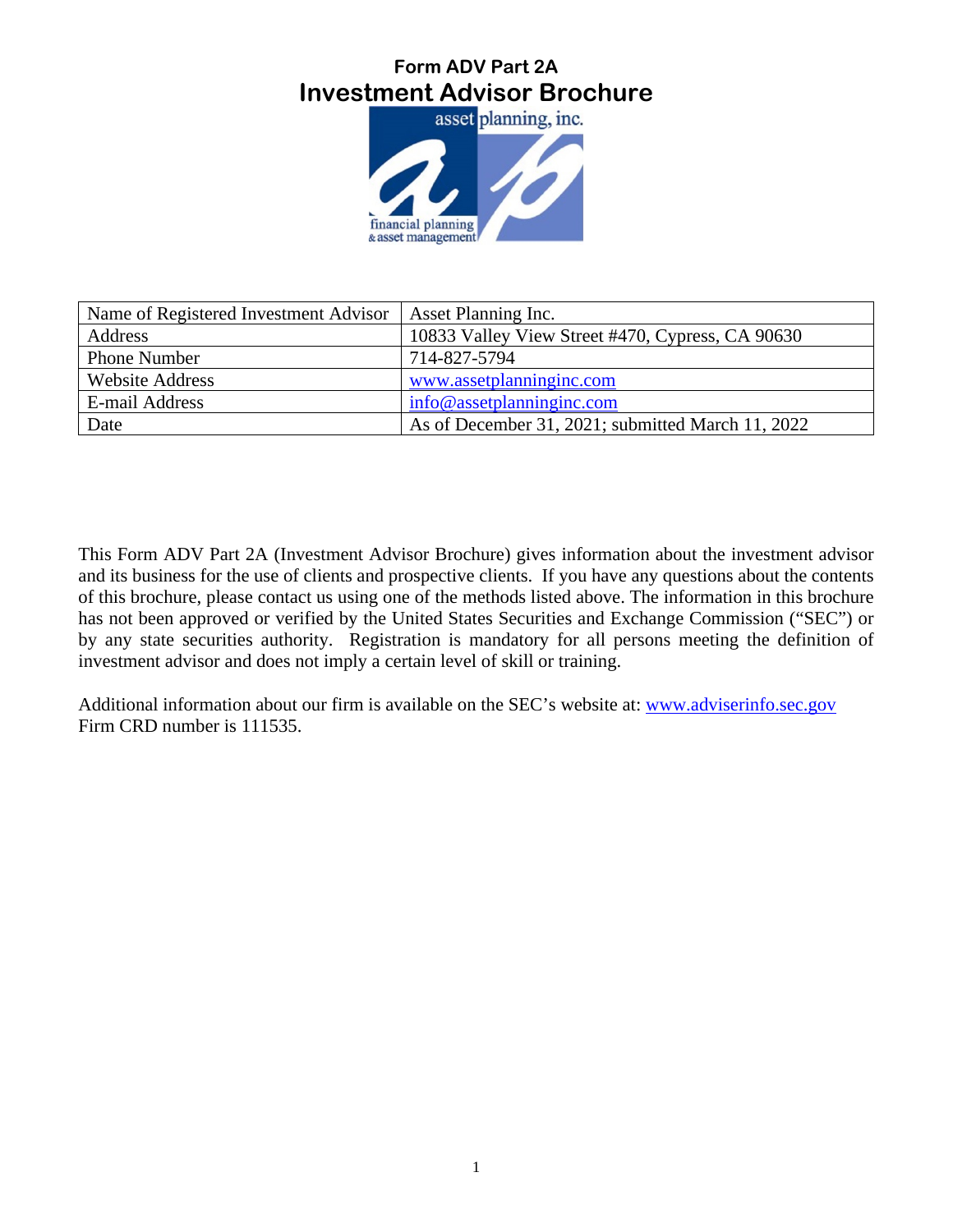# **Form ADV Part 2A Investment Advisor Brochure**



| Name of Registered Investment Advisor | Asset Planning Inc.                               |
|---------------------------------------|---------------------------------------------------|
| Address                               | 10833 Valley View Street #470, Cypress, CA 90630  |
| <b>Phone Number</b>                   | 714-827-5794                                      |
| <b>Website Address</b>                | www.assetplanninginc.com                          |
| E-mail Address                        | $info@$ assetplanning inc.com                     |
| Date                                  | As of December 31, 2021; submitted March 11, 2022 |

This Form ADV Part 2A (Investment Advisor Brochure) gives information about the investment advisor and its business for the use of clients and prospective clients. If you have any questions about the contents of this brochure, please contact us using one of the methods listed above. The information in this brochure has not been approved or verified by the United States Securities and Exchange Commission ("SEC") or by any state securities authority. Registration is mandatory for all persons meeting the definition of investment advisor and does not imply a certain level of skill or training.

Additional information about our firm is available on the SEC's website at: [www.adviserinfo.sec.gov](file://apidc/company/Compliance/www.adviserinfo.sec.gov) Firm CRD number is 111535.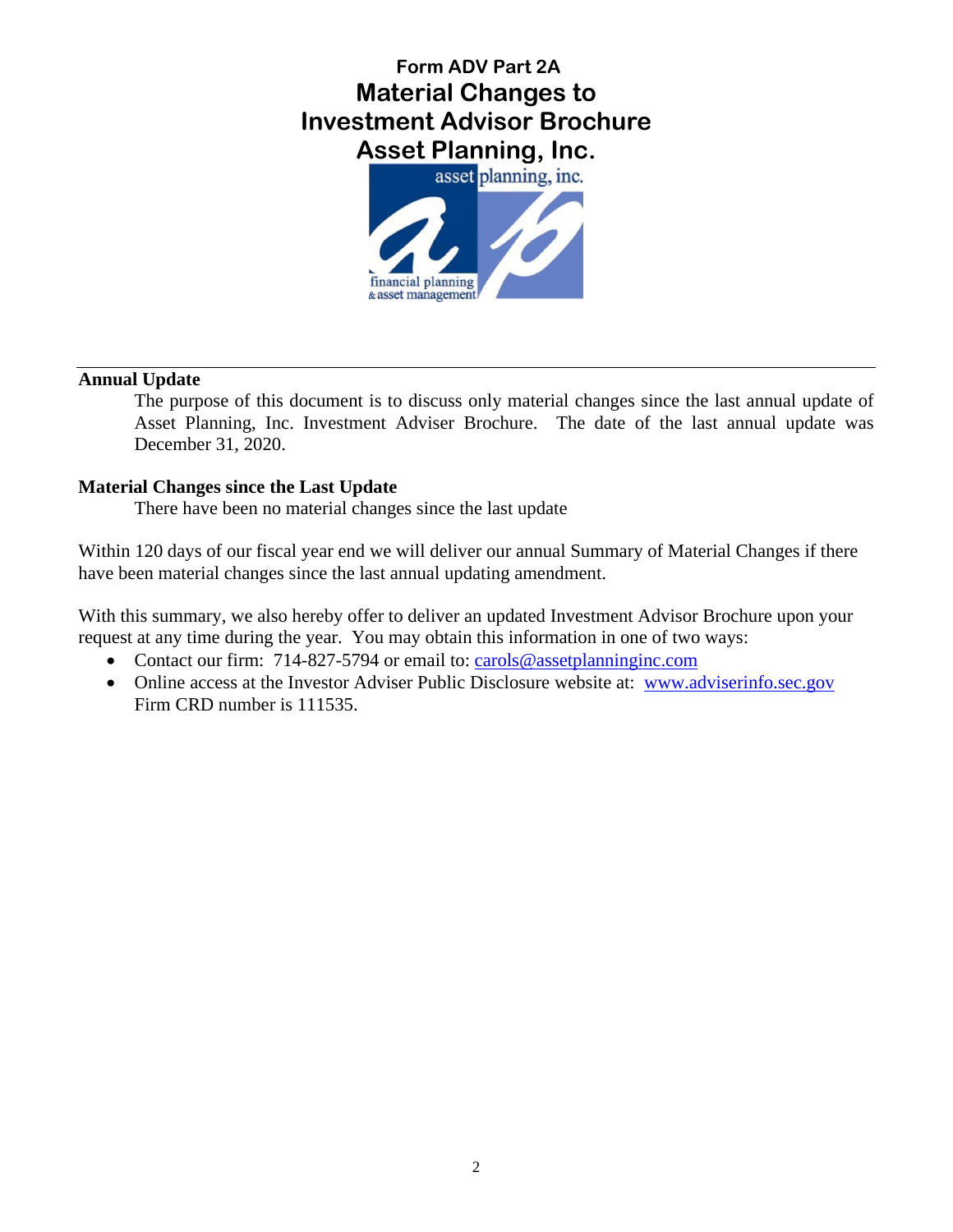<span id="page-1-0"></span>



## **Annual Update**

The purpose of this document is to discuss only material changes since the last annual update of Asset Planning, Inc. Investment Adviser Brochure. The date of the last annual update was December 31, 2020.

#### **Material Changes since the Last Update**

There have been no material changes since the last update

Within 120 days of our fiscal year end we will deliver our annual Summary of Material Changes if there have been material changes since the last annual updating amendment.

With this summary, we also hereby offer to deliver an updated Investment Advisor Brochure upon your request at any time during the year. You may obtain this information in one of two ways:

- Contact our firm: 714-827-5794 or email to: [carols@assetplanninginc.com](file://apidc/company/Compliance/carols@assetplanninginc.com)
- Online access at the Investor Adviser Public Disclosure website at: www.adviserinfo.sec.gov Firm CRD number is 111535.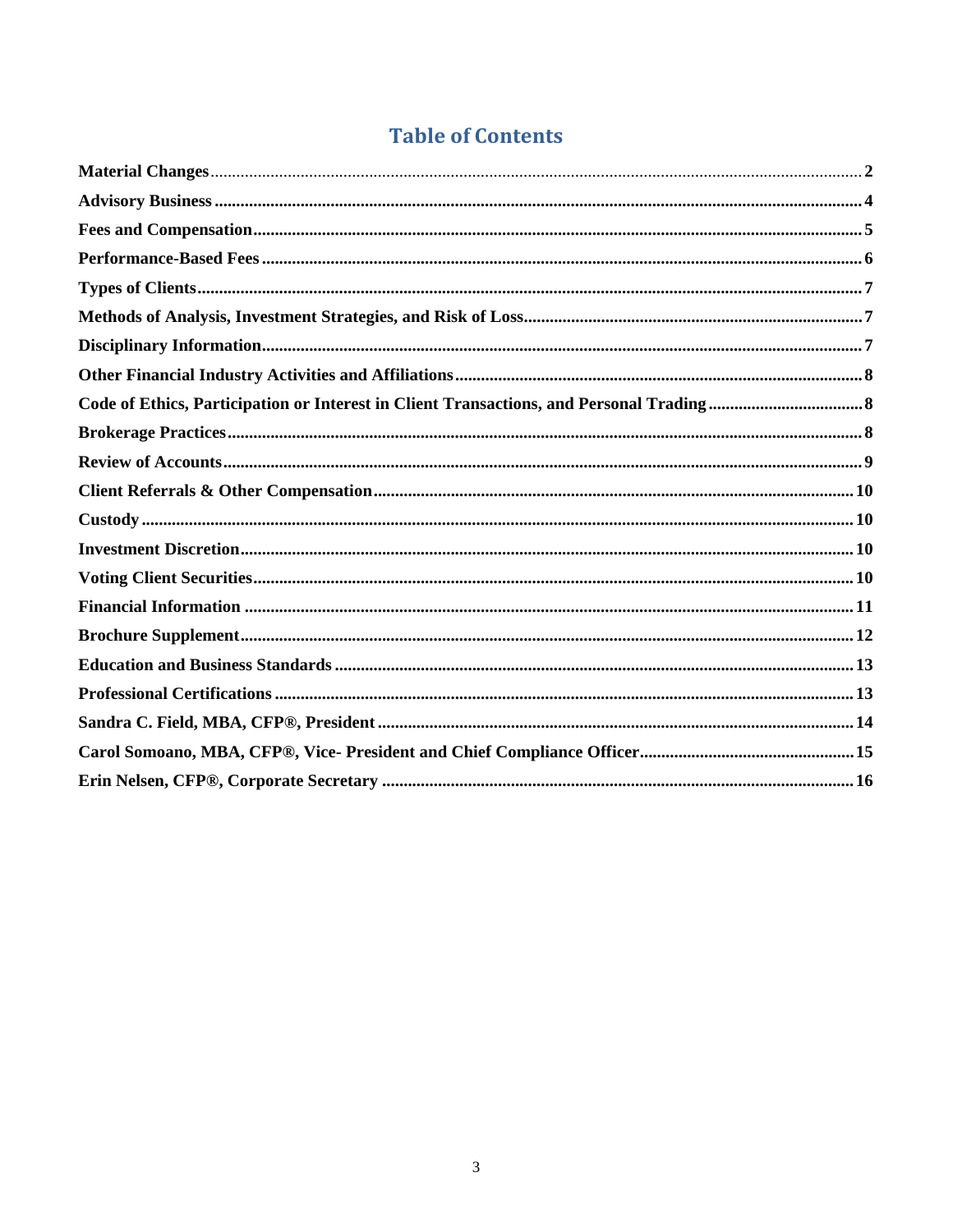# **Table of Contents**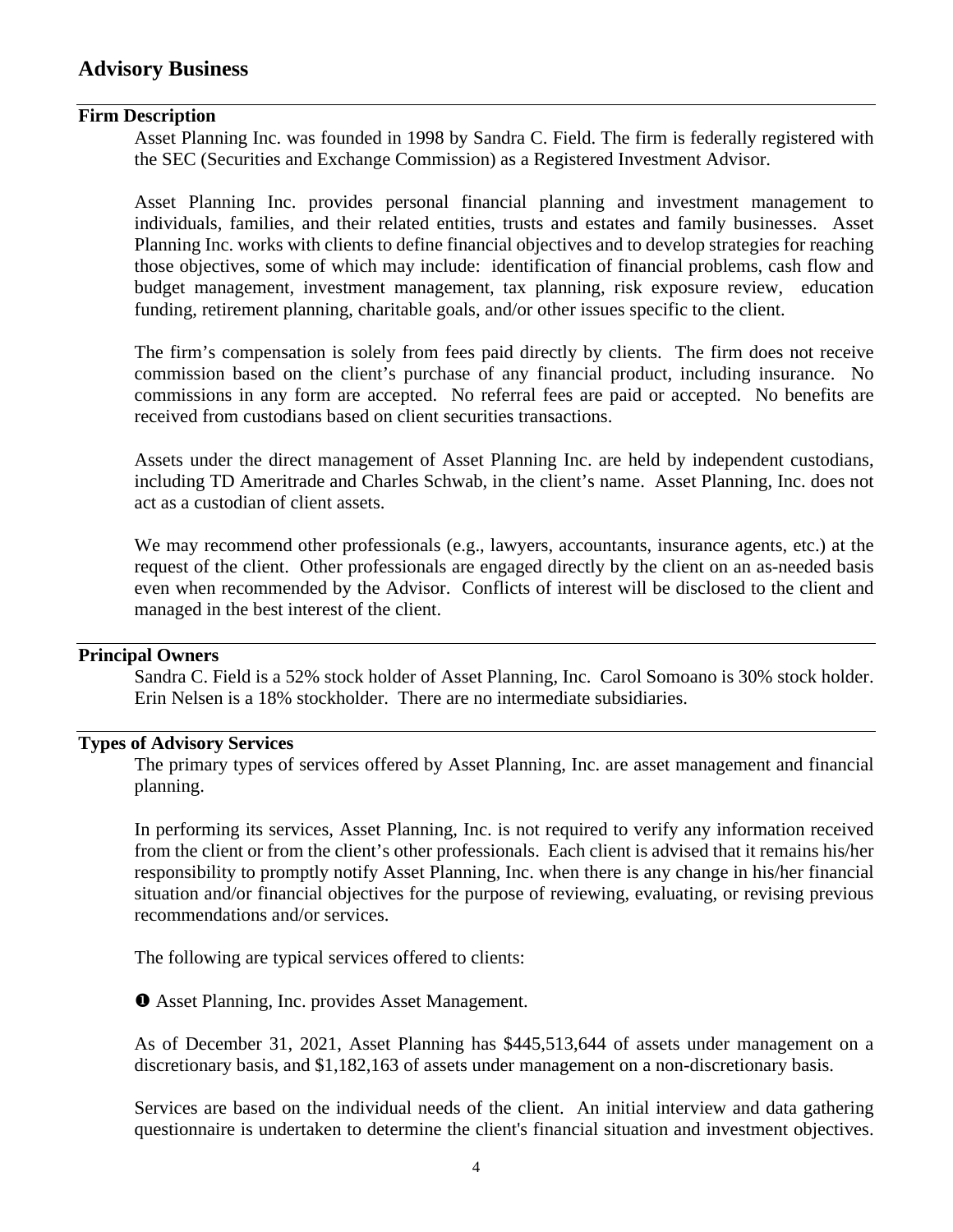# <span id="page-3-0"></span>**Advisory Business**

## **Firm Description**

Asset Planning Inc. was founded in 1998 by Sandra C. Field. The firm is federally registered with the SEC (Securities and Exchange Commission) as a Registered Investment Advisor.

Asset Planning Inc. provides personal financial planning and investment management to individuals, families, and their related entities, trusts and estates and family businesses. Asset Planning Inc. works with clients to define financial objectives and to develop strategies for reaching those objectives, some of which may include: identification of financial problems, cash flow and budget management, investment management, tax planning, risk exposure review, education funding, retirement planning, charitable goals, and/or other issues specific to the client.

The firm's compensation is solely from fees paid directly by clients. The firm does not receive commission based on the client's purchase of any financial product, including insurance. No commissions in any form are accepted. No referral fees are paid or accepted. No benefits are received from custodians based on client securities transactions.

Assets under the direct management of Asset Planning Inc. are held by independent custodians, including TD Ameritrade and Charles Schwab, in the client's name. Asset Planning, Inc. does not act as a custodian of client assets.

We may recommend other professionals (e.g., lawyers, accountants, insurance agents, etc.) at the request of the client. Other professionals are engaged directly by the client on an as-needed basis even when recommended by the Advisor. Conflicts of interest will be disclosed to the client and managed in the best interest of the client.

#### **Principal Owners**

Sandra C. Field is a 52% stock holder of Asset Planning, Inc. Carol Somoano is 30% stock holder. Erin Nelsen is a 18% stockholder. There are no intermediate subsidiaries.

#### **Types of Advisory Services**

The primary types of services offered by Asset Planning, Inc. are asset management and financial planning.

In performing its services, Asset Planning, Inc. is not required to verify any information received from the client or from the client's other professionals. Each client is advised that it remains his/her responsibility to promptly notify Asset Planning, Inc. when there is any change in his/her financial situation and/or financial objectives for the purpose of reviewing, evaluating, or revising previous recommendations and/or services.

The following are typical services offered to clients:

Asset Planning, Inc. provides Asset Management.

As of December 31, 2021, Asset Planning has \$445,513,644 of assets under management on a discretionary basis, and \$1,182,163 of assets under management on a non-discretionary basis.

Services are based on the individual needs of the client. An initial interview and data gathering questionnaire is undertaken to determine the client's financial situation and investment objectives.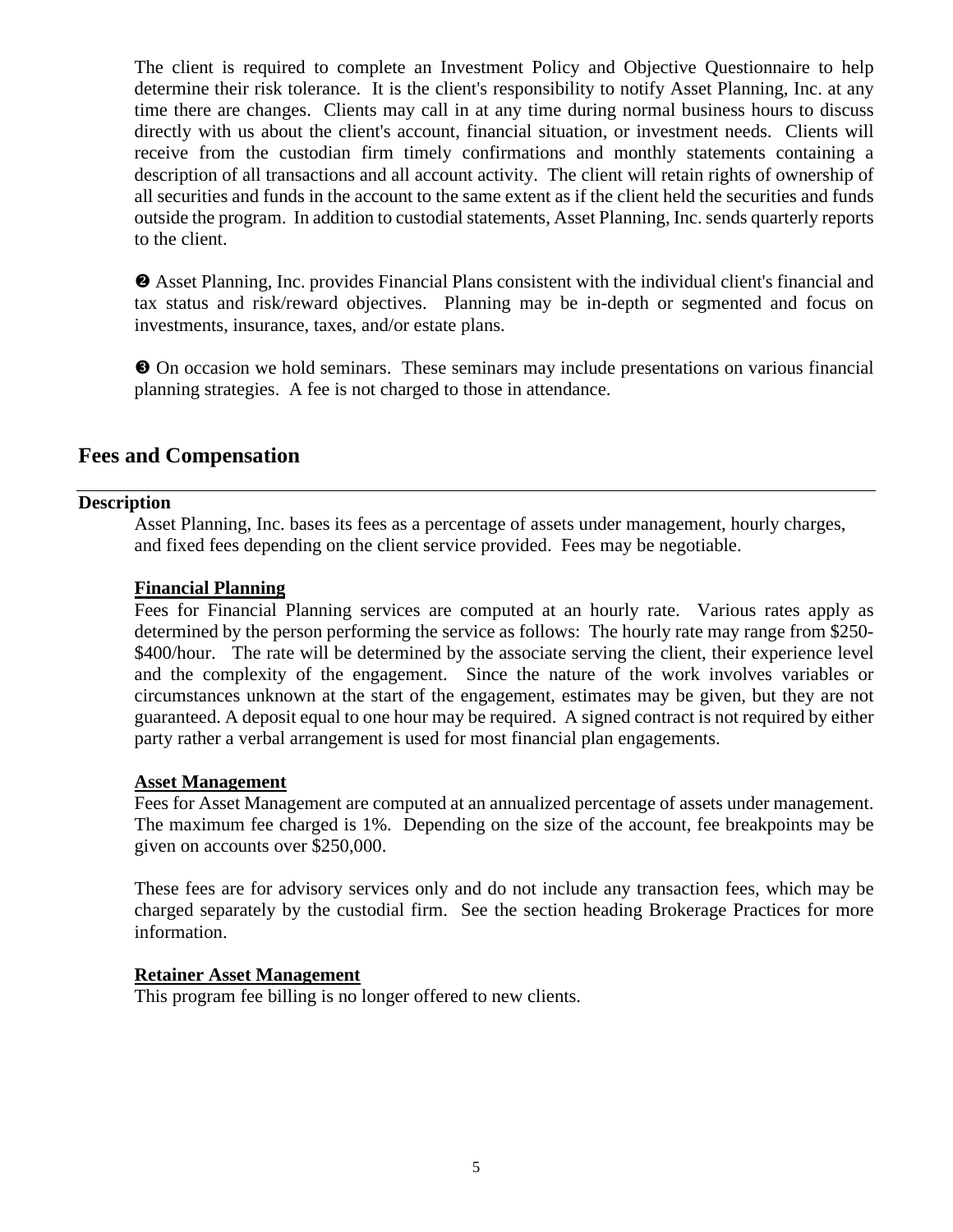The client is required to complete an Investment Policy and Objective Questionnaire to help determine their risk tolerance. It is the client's responsibility to notify Asset Planning, Inc. at any time there are changes. Clients may call in at any time during normal business hours to discuss directly with us about the client's account, financial situation, or investment needs. Clients will receive from the custodian firm timely confirmations and monthly statements containing a description of all transactions and all account activity. The client will retain rights of ownership of all securities and funds in the account to the same extent as if the client held the securities and funds outside the program. In addition to custodial statements, Asset Planning, Inc. sends quarterly reports to the client.

 Asset Planning, Inc. provides Financial Plans consistent with the individual client's financial and tax status and risk/reward objectives. Planning may be in-depth or segmented and focus on investments, insurance, taxes, and/or estate plans.

 On occasion we hold seminars. These seminars may include presentations on various financial planning strategies. A fee is not charged to those in attendance.

# <span id="page-4-0"></span>**Fees and Compensation**

## **Description**

Asset Planning, Inc. bases its fees as a percentage of assets under management, hourly charges, and fixed fees depending on the client service provided. Fees may be negotiable.

## **Financial Planning**

Fees for Financial Planning services are computed at an hourly rate. Various rates apply as determined by the person performing the service as follows: The hourly rate may range from \$250- \$400/hour. The rate will be determined by the associate serving the client, their experience level and the complexity of the engagement. Since the nature of the work involves variables or circumstances unknown at the start of the engagement, estimates may be given, but they are not guaranteed. A deposit equal to one hour may be required. A signed contract is not required by either party rather a verbal arrangement is used for most financial plan engagements.

## **Asset Management**

Fees for Asset Management are computed at an annualized percentage of assets under management. The maximum fee charged is 1%. Depending on the size of the account, fee breakpoints may be given on accounts over \$250,000.

These fees are for advisory services only and do not include any transaction fees, which may be charged separately by the custodial firm. See the section heading Brokerage Practices for more information.

## **Retainer Asset Management**

This program fee billing is no longer offered to new clients.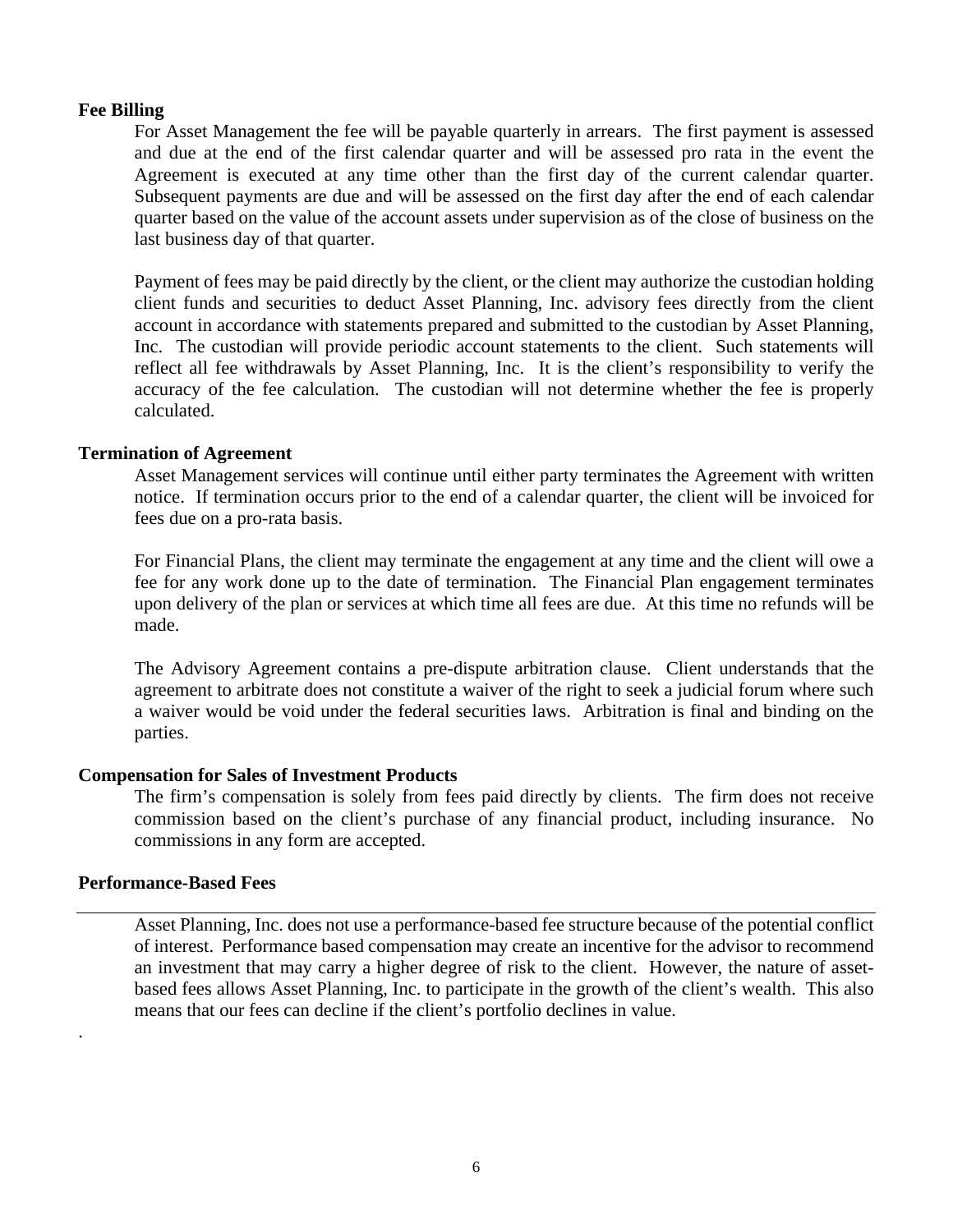#### **Fee Billing**

For Asset Management the fee will be payable quarterly in arrears. The first payment is assessed and due at the end of the first calendar quarter and will be assessed pro rata in the event the Agreement is executed at any time other than the first day of the current calendar quarter. Subsequent payments are due and will be assessed on the first day after the end of each calendar quarter based on the value of the account assets under supervision as of the close of business on the last business day of that quarter.

Payment of fees may be paid directly by the client, or the client may authorize the custodian holding client funds and securities to deduct Asset Planning, Inc. advisory fees directly from the client account in accordance with statements prepared and submitted to the custodian by Asset Planning, Inc. The custodian will provide periodic account statements to the client. Such statements will reflect all fee withdrawals by Asset Planning, Inc. It is the client's responsibility to verify the accuracy of the fee calculation. The custodian will not determine whether the fee is properly calculated.

#### **Termination of Agreement**

Asset Management services will continue until either party terminates the Agreement with written notice. If termination occurs prior to the end of a calendar quarter, the client will be invoiced for fees due on a pro-rata basis.

For Financial Plans, the client may terminate the engagement at any time and the client will owe a fee for any work done up to the date of termination. The Financial Plan engagement terminates upon delivery of the plan or services at which time all fees are due. At this time no refunds will be made.

The Advisory Agreement contains a pre-dispute arbitration clause. Client understands that the agreement to arbitrate does not constitute a waiver of the right to seek a judicial forum where such a waiver would be void under the federal securities laws. Arbitration is final and binding on the parties.

#### **Compensation for Sales of Investment Products**

The firm's compensation is solely from fees paid directly by clients. The firm does not receive commission based on the client's purchase of any financial product, including insurance. No commissions in any form are accepted.

#### <span id="page-5-0"></span>**Performance-Based Fees**

<span id="page-5-1"></span>.

Asset Planning, Inc. does not use a performance-based fee structure because of the potential conflict of interest. Performance based compensation may create an incentive for the advisor to recommend an investment that may carry a higher degree of risk to the client. However, the nature of assetbased fees allows Asset Planning, Inc. to participate in the growth of the client's wealth. This also means that our fees can decline if the client's portfolio declines in value.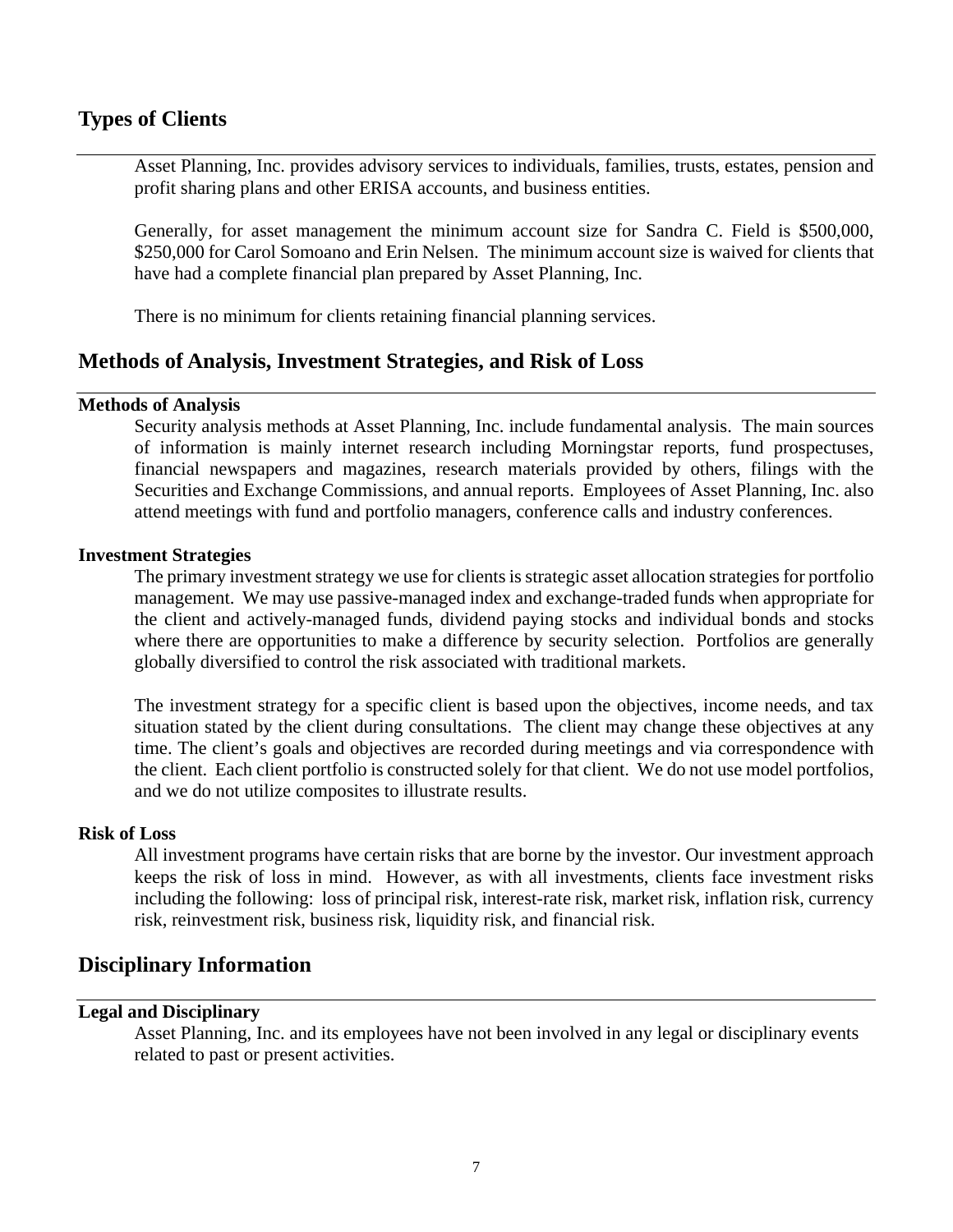# **Types of Clients**

Asset Planning, Inc. provides advisory services to individuals, families, trusts, estates, pension and profit sharing plans and other ERISA accounts, and business entities.

Generally, for asset management the minimum account size for Sandra C. Field is \$500,000, \$250,000 for Carol Somoano and Erin Nelsen. The minimum account size is waived for clients that have had a complete financial plan prepared by Asset Planning, Inc.

There is no minimum for clients retaining financial planning services.

## <span id="page-6-0"></span>**Methods of Analysis, Investment Strategies, and Risk of Loss**

#### **Methods of Analysis**

Security analysis methods at Asset Planning, Inc. include fundamental analysis. The main sources of information is mainly internet research including Morningstar reports, fund prospectuses, financial newspapers and magazines, research materials provided by others, filings with the Securities and Exchange Commissions, and annual reports. Employees of Asset Planning, Inc. also attend meetings with fund and portfolio managers, conference calls and industry conferences.

#### **Investment Strategies**

The primary investment strategy we use for clients is strategic asset allocation strategies for portfolio management. We may use passive-managed index and exchange-traded funds when appropriate for the client and actively-managed funds, dividend paying stocks and individual bonds and stocks where there are opportunities to make a difference by security selection. Portfolios are generally globally diversified to control the risk associated with traditional markets.

The investment strategy for a specific client is based upon the objectives, income needs, and tax situation stated by the client during consultations. The client may change these objectives at any time. The client's goals and objectives are recorded during meetings and via correspondence with the client. Each client portfolio is constructed solely for that client. We do not use model portfolios, and we do not utilize composites to illustrate results.

#### **Risk of Loss**

All investment programs have certain risks that are borne by the investor. Our investment approach keeps the risk of loss in mind. However, as with all investments, clients face investment risks including the following: loss of principal risk, interest-rate risk, market risk, inflation risk, currency risk, reinvestment risk, business risk, liquidity risk, and financial risk.

## <span id="page-6-1"></span>**Disciplinary Information**

## **Legal and Disciplinary**

Asset Planning, Inc. and its employees have not been involved in any legal or disciplinary events related to past or present activities.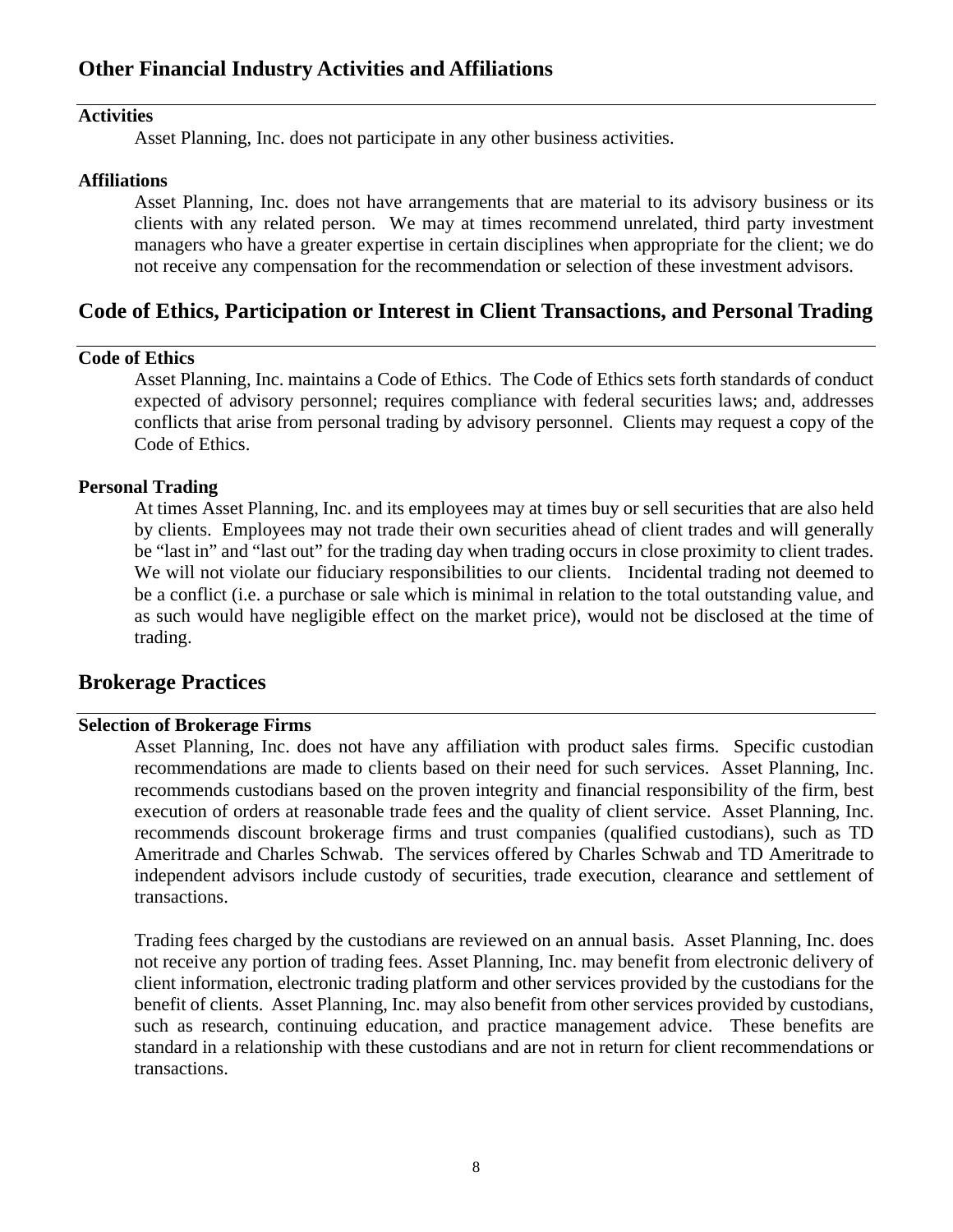# <span id="page-7-0"></span>**Other Financial Industry Activities and Affiliations**

#### **Activities**

Asset Planning, Inc. does not participate in any other business activities.

#### **Affiliations**

Asset Planning, Inc. does not have arrangements that are material to its advisory business or its clients with any related person. We may at times recommend unrelated, third party investment managers who have a greater expertise in certain disciplines when appropriate for the client; we do not receive any compensation for the recommendation or selection of these investment advisors.

# <span id="page-7-1"></span>**Code of Ethics, Participation or Interest in Client Transactions, and Personal Trading**

## **Code of Ethics**

Asset Planning, Inc. maintains a Code of Ethics. The Code of Ethics sets forth standards of conduct expected of advisory personnel; requires compliance with federal securities laws; and, addresses conflicts that arise from personal trading by advisory personnel. Clients may request a copy of the Code of Ethics.

#### **Personal Trading**

At times Asset Planning, Inc. and its employees may at times buy or sell securities that are also held by clients. Employees may not trade their own securities ahead of client trades and will generally be "last in" and "last out" for the trading day when trading occurs in close proximity to client trades. We will not violate our fiduciary responsibilities to our clients. Incidental trading not deemed to be a conflict (i.e. a purchase or sale which is minimal in relation to the total outstanding value, and as such would have negligible effect on the market price), would not be disclosed at the time of trading.

## <span id="page-7-2"></span>**Brokerage Practices**

#### **Selection of Brokerage Firms**

Asset Planning, Inc. does not have any affiliation with product sales firms. Specific custodian recommendations are made to clients based on their need for such services. Asset Planning, Inc. recommends custodians based on the proven integrity and financial responsibility of the firm, best execution of orders at reasonable trade fees and the quality of client service. Asset Planning, Inc. recommends discount brokerage firms and trust companies (qualified custodians), such as TD Ameritrade and Charles Schwab. The services offered by Charles Schwab and TD Ameritrade to independent advisors include custody of securities, trade execution, clearance and settlement of transactions.

Trading fees charged by the custodians are reviewed on an annual basis. Asset Planning, Inc. does not receive any portion of trading fees. Asset Planning, Inc. may benefit from electronic delivery of client information, electronic trading platform and other services provided by the custodians for the benefit of clients. Asset Planning, Inc. may also benefit from other services provided by custodians, such as research, continuing education, and practice management advice. These benefits are standard in a relationship with these custodians and are not in return for client recommendations or transactions.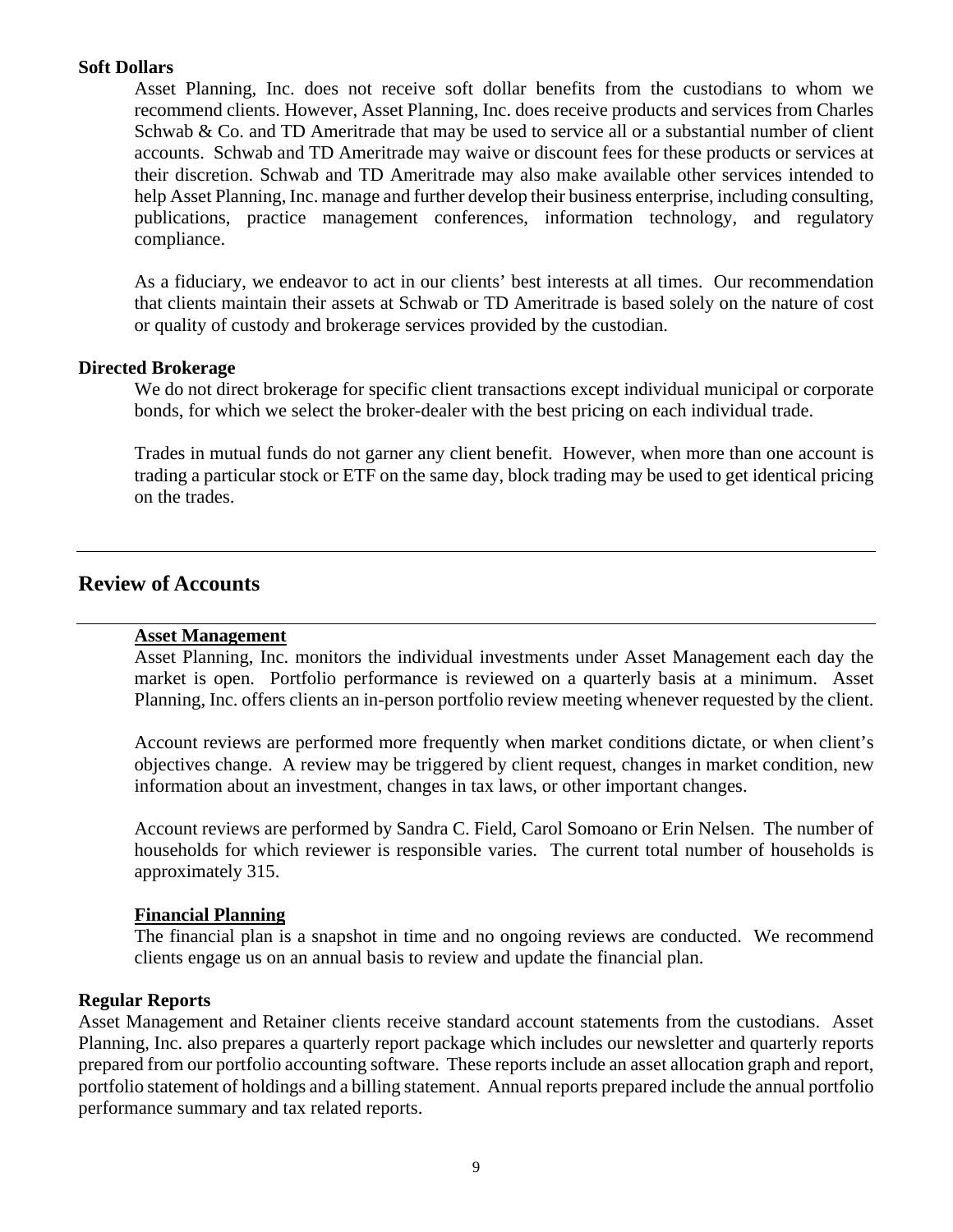## **Soft Dollars**

Asset Planning, Inc. does not receive soft dollar benefits from the custodians to whom we recommend clients. However, Asset Planning, Inc. does receive products and services from Charles Schwab & Co. and TD Ameritrade that may be used to service all or a substantial number of client accounts. Schwab and TD Ameritrade may waive or discount fees for these products or services at their discretion. Schwab and TD Ameritrade may also make available other services intended to help Asset Planning, Inc. manage and further develop their business enterprise, including consulting, publications, practice management conferences, information technology, and regulatory compliance.

As a fiduciary, we endeavor to act in our clients' best interests at all times. Our recommendation that clients maintain their assets at Schwab or TD Ameritrade is based solely on the nature of cost or quality of custody and brokerage services provided by the custodian.

#### **Directed Brokerage**

We do not direct brokerage for specific client transactions except individual municipal or corporate bonds, for which we select the broker-dealer with the best pricing on each individual trade.

Trades in mutual funds do not garner any client benefit. However, when more than one account is trading a particular stock or ETF on the same day, block trading may be used to get identical pricing on the trades.

# <span id="page-8-0"></span>**Review of Accounts**

## **Asset Management**

Asset Planning, Inc. monitors the individual investments under Asset Management each day the market is open. Portfolio performance is reviewed on a quarterly basis at a minimum. Asset Planning, Inc. offers clients an in-person portfolio review meeting whenever requested by the client.

Account reviews are performed more frequently when market conditions dictate, or when client's objectives change. A review may be triggered by client request, changes in market condition, new information about an investment, changes in tax laws, or other important changes.

Account reviews are performed by Sandra C. Field, Carol Somoano or Erin Nelsen. The number of households for which reviewer is responsible varies. The current total number of households is approximately 315.

#### **Financial Planning**

The financial plan is a snapshot in time and no ongoing reviews are conducted. We recommend clients engage us on an annual basis to review and update the financial plan.

## **Regular Reports**

Asset Management and Retainer clients receive standard account statements from the custodians. Asset Planning, Inc. also prepares a quarterly report package which includes our newsletter and quarterly reports prepared from our portfolio accounting software. These reports include an asset allocation graph and report, portfolio statement of holdings and a billing statement. Annual reports prepared include the annual portfolio performance summary and tax related reports.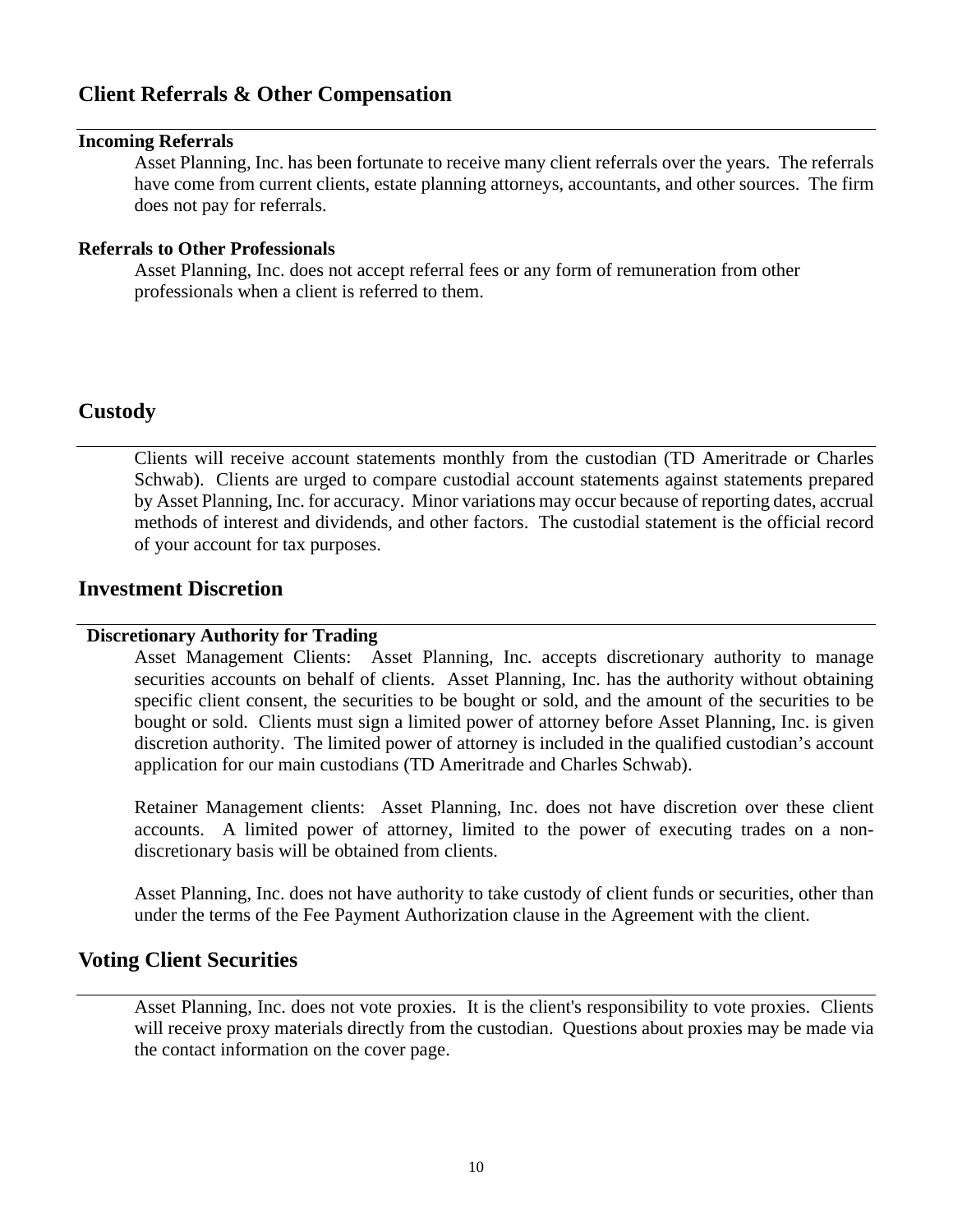# <span id="page-9-0"></span>**Client Referrals & Other Compensation**

### **Incoming Referrals**

Asset Planning, Inc. has been fortunate to receive many client referrals over the years. The referrals have come from current clients, estate planning attorneys, accountants, and other sources. The firm does not pay for referrals.

## **Referrals to Other Professionals**

Asset Planning, Inc. does not accept referral fees or any form of remuneration from other professionals when a client is referred to them.

# <span id="page-9-1"></span>**Custody**

Clients will receive account statements monthly from the custodian (TD Ameritrade or Charles Schwab). Clients are urged to compare custodial account statements against statements prepared by Asset Planning, Inc. for accuracy. Minor variations may occur because of reporting dates, accrual methods of interest and dividends, and other factors. The custodial statement is the official record of your account for tax purposes.

# <span id="page-9-2"></span>**Investment Discretion**

#### **Discretionary Authority for Trading**

Asset Management Clients: Asset Planning, Inc. accepts discretionary authority to manage securities accounts on behalf of clients. Asset Planning, Inc. has the authority without obtaining specific client consent, the securities to be bought or sold, and the amount of the securities to be bought or sold. Clients must sign a limited power of attorney before Asset Planning, Inc. is given discretion authority. The limited power of attorney is included in the qualified custodian's account application for our main custodians (TD Ameritrade and Charles Schwab).

Retainer Management clients: Asset Planning, Inc. does not have discretion over these client accounts. A limited power of attorney, limited to the power of executing trades on a nondiscretionary basis will be obtained from clients.

Asset Planning, Inc. does not have authority to take custody of client funds or securities, other than under the terms of the Fee Payment Authorization clause in the Agreement with the client.

# <span id="page-9-3"></span>**Voting Client Securities**

Asset Planning, Inc. does not vote proxies. It is the client's responsibility to vote proxies. Clients will receive proxy materials directly from the custodian. Questions about proxies may be made via the contact information on the cover page.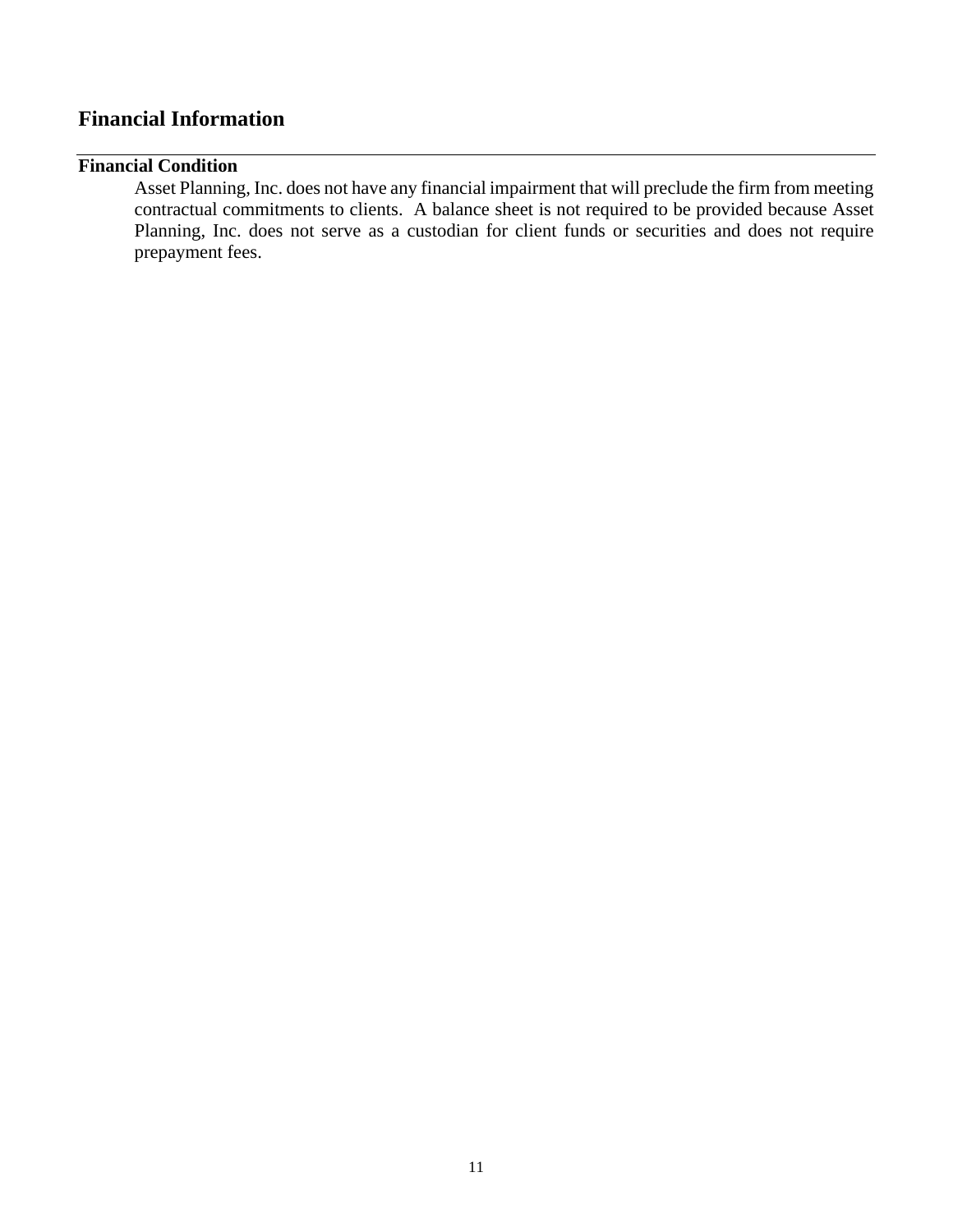# <span id="page-10-0"></span>**Financial Information**

# **Financial Condition**

Asset Planning, Inc. does not have any financial impairment that will preclude the firm from meeting contractual commitments to clients. A balance sheet is not required to be provided because Asset Planning, Inc. does not serve as a custodian for client funds or securities and does not require prepayment fees.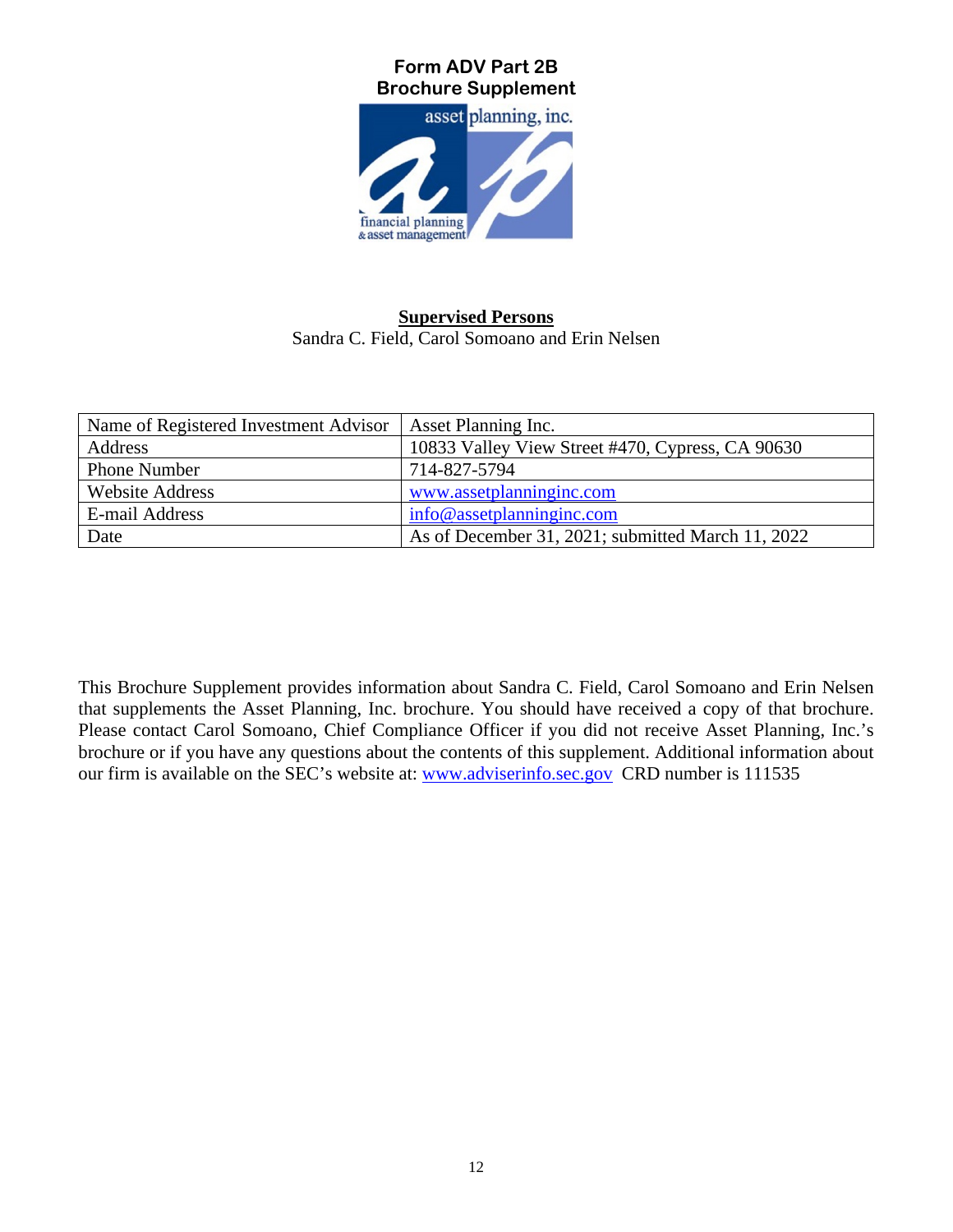<span id="page-11-0"></span>

# **Supervised Persons** Sandra C. Field, Carol Somoano and Erin Nelsen

| Name of Registered Investment Advisor | Asset Planning Inc.                               |
|---------------------------------------|---------------------------------------------------|
| Address                               | 10833 Valley View Street #470, Cypress, CA 90630  |
| <b>Phone Number</b>                   | 714-827-5794                                      |
| <b>Website Address</b>                | www.assetplanninginc.com                          |
| E-mail Address                        | $info@$ assetplanning inc.com                     |
| Date                                  | As of December 31, 2021; submitted March 11, 2022 |

This Brochure Supplement provides information about Sandra C. Field, Carol Somoano and Erin Nelsen that supplements the Asset Planning, Inc. brochure. You should have received a copy of that brochure. Please contact Carol Somoano, Chief Compliance Officer if you did not receive Asset Planning, Inc.'s brochure or if you have any questions about the contents of this supplement. Additional information about our firm is available on the SEC's website at: [www.adviserinfo.sec.gov](file://apidc/company/Compliance/www.adviserinfo.sec.gov) CRD number is 111535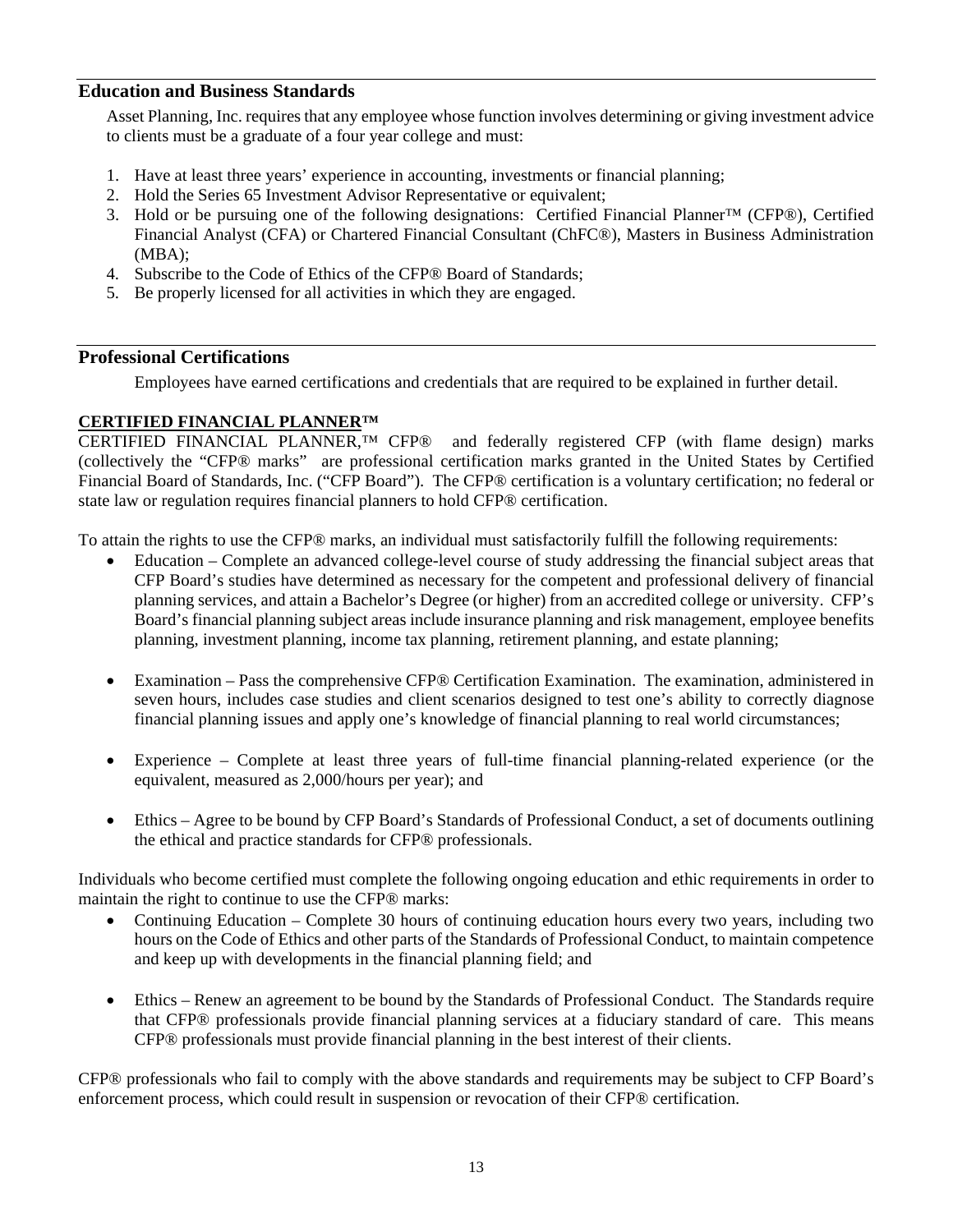### <span id="page-12-0"></span>**Education and Business Standards**

Asset Planning, Inc. requires that any employee whose function involves determining or giving investment advice to clients must be a graduate of a four year college and must:

- 1. Have at least three years' experience in accounting, investments or financial planning;
- 2. Hold the Series 65 Investment Advisor Representative or equivalent;
- 3. Hold or be pursuing one of the following designations: Certified Financial Planner™ (CFP®), Certified Financial Analyst (CFA) or Chartered Financial Consultant (ChFC®), Masters in Business Administration (MBA);
- 4. Subscribe to the Code of Ethics of the CFP® Board of Standards;
- 5. Be properly licensed for all activities in which they are engaged.

#### <span id="page-12-1"></span>**Professional Certifications**

Employees have earned certifications and credentials that are required to be explained in further detail.

#### **CERTIFIED FINANCIAL PLANNER™**

CERTIFIED FINANCIAL PLANNER,™ CFP® and federally registered CFP (with flame design) marks (collectively the "CFP® marks" are professional certification marks granted in the United States by Certified Financial Board of Standards, Inc. ("CFP Board"). The CFP® certification is a voluntary certification; no federal or state law or regulation requires financial planners to hold CFP® certification.

To attain the rights to use the CFP® marks, an individual must satisfactorily fulfill the following requirements:

- Education Complete an advanced college-level course of study addressing the financial subject areas that CFP Board's studies have determined as necessary for the competent and professional delivery of financial planning services, and attain a Bachelor's Degree (or higher) from an accredited college or university. CFP's Board's financial planning subject areas include insurance planning and risk management, employee benefits planning, investment planning, income tax planning, retirement planning, and estate planning;
- Examination Pass the comprehensive CFP® Certification Examination. The examination, administered in seven hours, includes case studies and client scenarios designed to test one's ability to correctly diagnose financial planning issues and apply one's knowledge of financial planning to real world circumstances;
- Experience Complete at least three years of full-time financial planning-related experience (or the equivalent, measured as 2,000/hours per year); and
- Ethics Agree to be bound by CFP Board's Standards of Professional Conduct, a set of documents outlining the ethical and practice standards for CFP® professionals.

Individuals who become certified must complete the following ongoing education and ethic requirements in order to maintain the right to continue to use the CFP® marks:

- Continuing Education Complete 30 hours of continuing education hours every two years, including two hours on the Code of Ethics and other parts of the Standards of Professional Conduct, to maintain competence and keep up with developments in the financial planning field; and
- Ethics Renew an agreement to be bound by the Standards of Professional Conduct. The Standards require that CFP® professionals provide financial planning services at a fiduciary standard of care. This means CFP® professionals must provide financial planning in the best interest of their clients.

CFP® professionals who fail to comply with the above standards and requirements may be subject to CFP Board's enforcement process, which could result in suspension or revocation of their CFP® certification.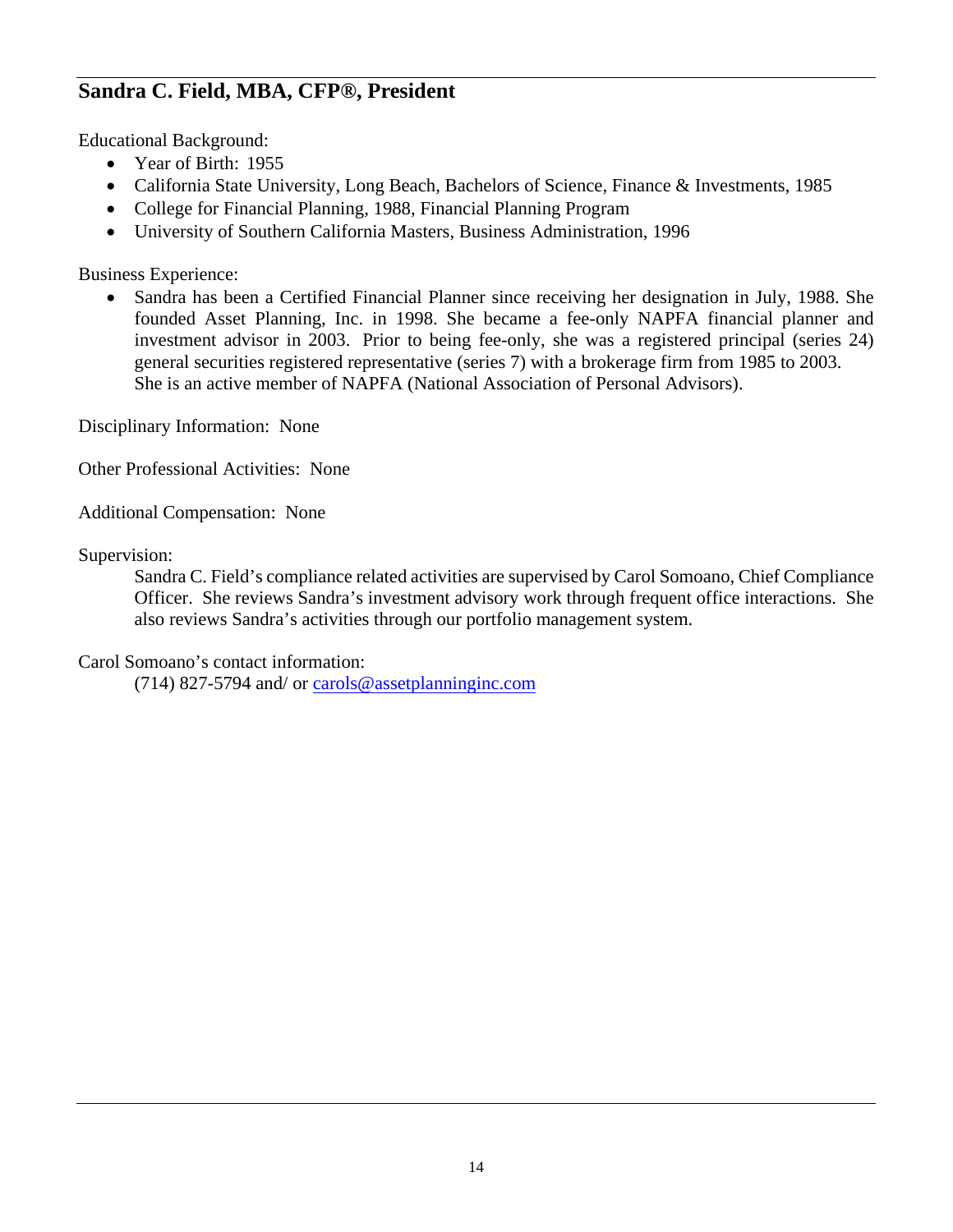# <span id="page-13-0"></span>**Sandra C. Field, MBA, CFP®, President**

Educational Background:

- Year of Birth: 1955
- California State University, Long Beach, Bachelors of Science, Finance & Investments, 1985
- College for Financial Planning, 1988, Financial Planning Program
- University of Southern California Masters, Business Administration, 1996

Business Experience:

• Sandra has been a Certified Financial Planner since receiving her designation in July, 1988. She founded Asset Planning, Inc. in 1998. She became a fee-only NAPFA financial planner and investment advisor in 2003. Prior to being fee-only, she was a registered principal (series 24) general securities registered representative (series 7) with a brokerage firm from 1985 to 2003. She is an active member of NAPFA (National Association of Personal Advisors).

Disciplinary Information: None

Other Professional Activities: None

Additional Compensation: None

Supervision:

Sandra C. Field's compliance related activities are supervised by Carol Somoano, Chief Compliance Officer. She reviews Sandra's investment advisory work through frequent office interactions. She also reviews Sandra's activities through our portfolio management system.

Carol Somoano's contact information:

(714) 827-5794 and/ or [carols@assetplanninginc.com](file://apidc/company/Compliance/carols@assetplanninginc.com)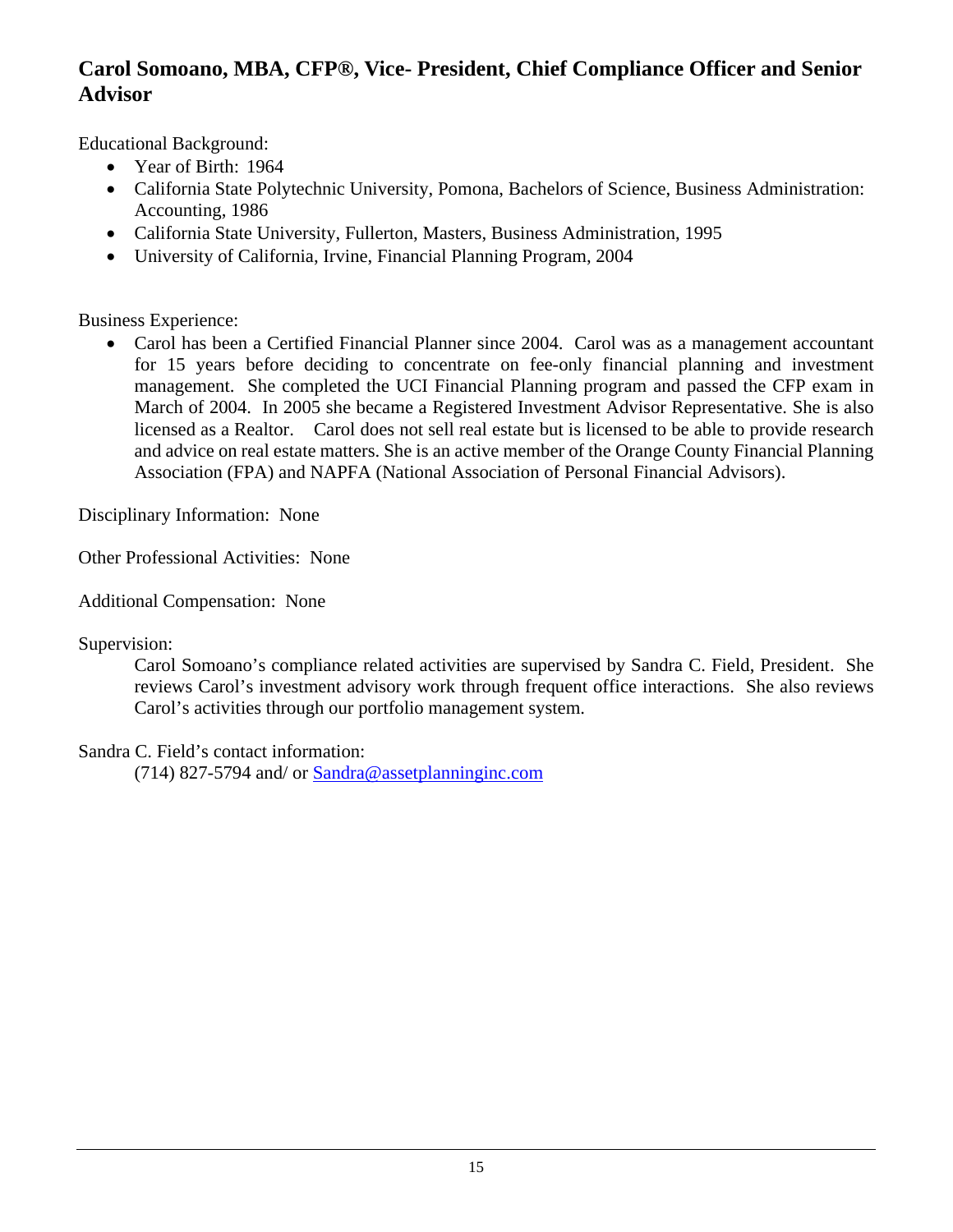# <span id="page-14-0"></span>**Carol Somoano, MBA, CFP®, Vice- President, Chief Compliance Officer and Senior Advisor**

Educational Background:

- Year of Birth: 1964
- California State Polytechnic University, Pomona, Bachelors of Science, Business Administration: Accounting, 1986
- California State University, Fullerton, Masters, Business Administration, 1995
- University of California, Irvine, Financial Planning Program, 2004

Business Experience:

• Carol has been a Certified Financial Planner since 2004. Carol was as a management accountant for 15 years before deciding to concentrate on fee-only financial planning and investment management. She completed the UCI Financial Planning program and passed the CFP exam in March of 2004. In 2005 she became a Registered Investment Advisor Representative. She is also licensed as a Realtor. Carol does not sell real estate but is licensed to be able to provide research and advice on real estate matters. She is an active member of the Orange County Financial Planning Association (FPA) and NAPFA (National Association of Personal Financial Advisors).

Disciplinary Information: None

Other Professional Activities: None

Additional Compensation: None

# Supervision:

Carol Somoano's compliance related activities are supervised by Sandra C. Field, President. She reviews Carol's investment advisory work through frequent office interactions. She also reviews Carol's activities through our portfolio management system.

Sandra C. Field's contact information:

(714) 827-5794 and/ or [Sandra@assetplanninginc.com](file://apidc/company/Compliance/Sandra@assetplanninginc.com)